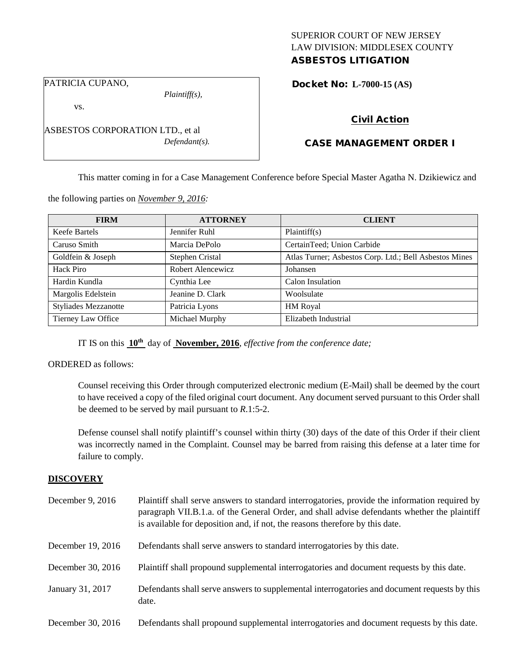## SUPERIOR COURT OF NEW JERSEY LAW DIVISION: MIDDLESEX COUNTY ASBESTOS LITIGATION

PATRICIA CUPANO,

vs.

*Plaintiff(s),*

ASBESTOS CORPORATION LTD., et al *Defendant(s).* Docket No: **L-7000-15 (AS)** 

# Civil Action

# CASE MANAGEMENT ORDER I

This matter coming in for a Case Management Conference before Special Master Agatha N. Dzikiewicz and

the following parties on *November 9, 2016:*

| <b>FIRM</b>                 | <b>ATTORNEY</b>   | <b>CLIENT</b>                                          |
|-----------------------------|-------------------|--------------------------------------------------------|
| Keefe Bartels               | Jennifer Ruhl     | Plaintiff(s)                                           |
| Caruso Smith                | Marcia DePolo     | CertainTeed; Union Carbide                             |
| Goldfein & Joseph           | Stephen Cristal   | Atlas Turner; Asbestos Corp. Ltd.; Bell Asbestos Mines |
| Hack Piro                   | Robert Alencewicz | Johansen                                               |
| Hardin Kundla               | Cynthia Lee       | Calon Insulation                                       |
| Margolis Edelstein          | Jeanine D. Clark  | Woolsulate                                             |
| <b>Styliades Mezzanotte</b> | Patricia Lyons    | <b>HM</b> Royal                                        |
| Tierney Law Office          | Michael Murphy    | Elizabeth Industrial                                   |

IT IS on this **10th** day of **November, 2016**, *effective from the conference date;*

ORDERED as follows:

Counsel receiving this Order through computerized electronic medium (E-Mail) shall be deemed by the court to have received a copy of the filed original court document. Any document served pursuant to this Order shall be deemed to be served by mail pursuant to *R*.1:5-2.

Defense counsel shall notify plaintiff's counsel within thirty (30) days of the date of this Order if their client was incorrectly named in the Complaint. Counsel may be barred from raising this defense at a later time for failure to comply.

### **DISCOVERY**

| December 9, $2016$ | Plaintiff shall serve answers to standard interrogatories, provide the information required by<br>paragraph VII.B.1.a. of the General Order, and shall advise defendants whether the plaintiff<br>is available for deposition and, if not, the reasons therefore by this date. |
|--------------------|--------------------------------------------------------------------------------------------------------------------------------------------------------------------------------------------------------------------------------------------------------------------------------|
| December 19, 2016  | Defendants shall serve answers to standard interrogatories by this date.                                                                                                                                                                                                       |
| December 30, 2016  | Plaintiff shall propound supplemental interrogatories and document requests by this date.                                                                                                                                                                                      |
| January 31, 2017   | Defendants shall serve answers to supplemental interrogatories and document requests by this<br>date.                                                                                                                                                                          |
| December 30, 2016  | Defendants shall propound supplemental interrogatories and document requests by this date.                                                                                                                                                                                     |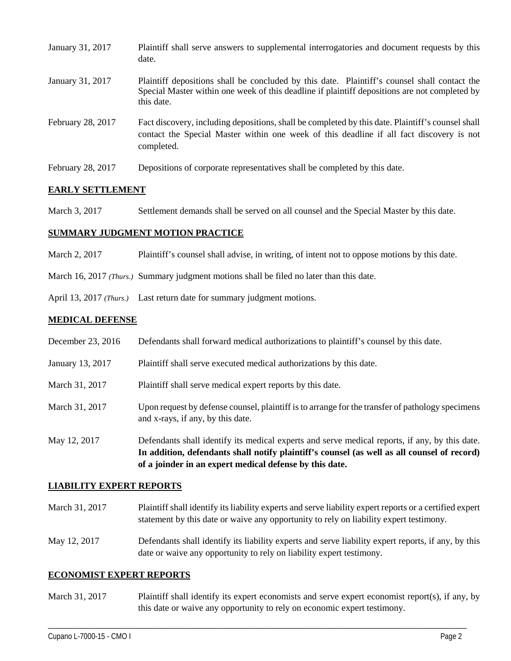| January 31, 2017  | Plaintiff shall serve answers to supplemental interrogatories and document requests by this<br>date.                                                                                                        |
|-------------------|-------------------------------------------------------------------------------------------------------------------------------------------------------------------------------------------------------------|
| January 31, 2017  | Plaintiff depositions shall be concluded by this date. Plaintiff's counsel shall contact the<br>Special Master within one week of this deadline if plaintiff depositions are not completed by<br>this date. |
| February 28, 2017 | Fact discovery, including depositions, shall be completed by this date. Plaintiff's counsel shall<br>contact the Special Master within one week of this deadline if all fact discovery is not<br>completed. |
| February 28, 2017 | Depositions of corporate representatives shall be completed by this date.                                                                                                                                   |

## **EARLY SETTLEMENT**

March 3, 2017 Settlement demands shall be served on all counsel and the Special Master by this date.

### **SUMMARY JUDGMENT MOTION PRACTICE**

- March 2, 2017 Plaintiff's counsel shall advise, in writing, of intent not to oppose motions by this date.
- March 16, 2017 *(Thurs.)* Summary judgment motions shall be filed no later than this date.
- April 13, 2017 *(Thurs.)* Last return date for summary judgment motions.

### **MEDICAL DEFENSE**

- December 23, 2016 Defendants shall forward medical authorizations to plaintiff's counsel by this date.
- January 13, 2017 Plaintiff shall serve executed medical authorizations by this date.
- March 31, 2017 Plaintiff shall serve medical expert reports by this date.
- March 31, 2017 Upon request by defense counsel, plaintiff is to arrange for the transfer of pathology specimens and x-rays, if any, by this date.
- May 12, 2017 Defendants shall identify its medical experts and serve medical reports, if any, by this date. **In addition, defendants shall notify plaintiff's counsel (as well as all counsel of record) of a joinder in an expert medical defense by this date.**

### **LIABILITY EXPERT REPORTS**

- March 31, 2017 Plaintiff shall identify its liability experts and serve liability expert reports or a certified expert statement by this date or waive any opportunity to rely on liability expert testimony.
- May 12, 2017 Defendants shall identify its liability experts and serve liability expert reports, if any, by this date or waive any opportunity to rely on liability expert testimony.

#### **ECONOMIST EXPERT REPORTS**

March 31, 2017 Plaintiff shall identify its expert economists and serve expert economist report(s), if any, by this date or waive any opportunity to rely on economic expert testimony.

\_\_\_\_\_\_\_\_\_\_\_\_\_\_\_\_\_\_\_\_\_\_\_\_\_\_\_\_\_\_\_\_\_\_\_\_\_\_\_\_\_\_\_\_\_\_\_\_\_\_\_\_\_\_\_\_\_\_\_\_\_\_\_\_\_\_\_\_\_\_\_\_\_\_\_\_\_\_\_\_\_\_\_\_\_\_\_\_\_\_\_\_\_\_\_\_\_\_\_\_\_\_\_\_\_\_\_\_\_\_